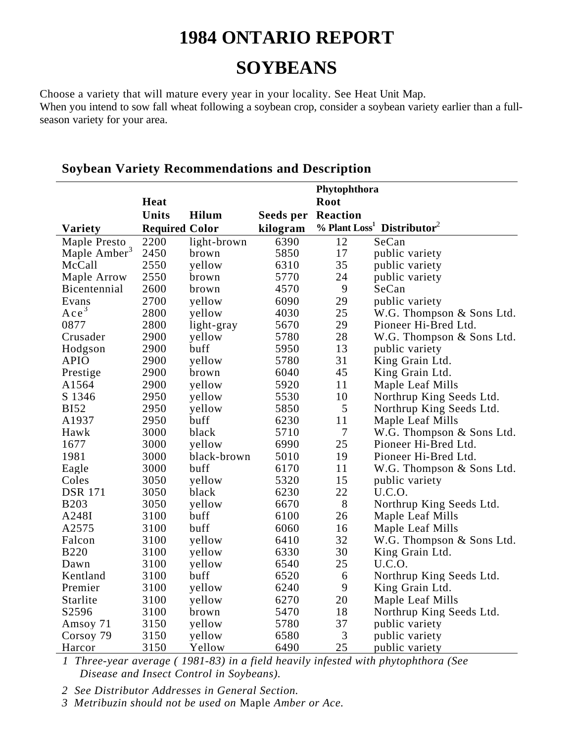# **1984 ONTARIO REPORT**

## **SOYBEANS**

Choose a variety that will mature every year in your locality. See Heat Unit Map. When you intend to sow fall wheat following a soybean crop, consider a soybean variety earlier than a fullseason variety for your area.

|                                          |                       | Phytophthora |           |                  |                                                    |  |
|------------------------------------------|-----------------------|--------------|-----------|------------------|----------------------------------------------------|--|
|                                          | Heat                  |              |           | <b>Root</b>      |                                                    |  |
|                                          | <b>Units</b>          | Hilum        | Seeds per | <b>Reaction</b>  |                                                    |  |
| <b>Variety</b>                           | <b>Required Color</b> |              | kilogram  |                  | % Plant Loss <sup>1</sup> Distributor <sup>2</sup> |  |
|                                          | 2200                  | light-brown  | 6390      | 12               | SeCan                                              |  |
| Maple Presto<br>Maple Amber <sup>3</sup> | 2450                  | brown        | 5850      | 17               | public variety                                     |  |
| McCall                                   | 2550                  | yellow       | 6310      | 35               | public variety                                     |  |
| Maple Arrow                              | 2550                  | brown        | 5770      | 24               | public variety                                     |  |
| Bicentennial                             | 2600                  | brown        | 4570      | 9                | SeCan                                              |  |
| Evans                                    | 2700                  | yellow       | 6090      | 29               | public variety                                     |  |
| Ace <sup>3</sup>                         | 2800                  | yellow       | 4030      | 25               | W.G. Thompson & Sons Ltd.                          |  |
| 0877                                     | 2800                  | light-gray   | 5670      | 29               | Pioneer Hi-Bred Ltd.                               |  |
| Crusader                                 | 2900                  | yellow       | 5780      | 28               | W.G. Thompson & Sons Ltd.                          |  |
| Hodgson                                  | 2900                  | buff         | 5950      | 13               | public variety                                     |  |
| <b>APIO</b>                              | 2900                  | yellow       | 5780      | 31               | King Grain Ltd.                                    |  |
| Prestige                                 | 2900                  | brown        | 6040      | 45               | King Grain Ltd.                                    |  |
| A1564                                    | 2900                  | yellow       | 5920      | 11               | Maple Leaf Mills                                   |  |
| S 1346                                   | 2950                  | yellow       | 5530      | 10               | Northrup King Seeds Ltd.                           |  |
| <b>BI52</b>                              | 2950                  | yellow       | 5850      | 5                | Northrup King Seeds Ltd.                           |  |
| A1937                                    | 2950                  | buff         | 6230      | 11               | Maple Leaf Mills                                   |  |
| Hawk                                     | 3000                  | black        | 5710      | $\boldsymbol{7}$ | W.G. Thompson & Sons Ltd.                          |  |
| 1677                                     | 3000                  | yellow       | 6990      | 25               | Pioneer Hi-Bred Ltd.                               |  |
| 1981                                     | 3000                  | black-brown  | 5010      | 19               | Pioneer Hi-Bred Ltd.                               |  |
| Eagle                                    | 3000                  | buff         | 6170      | 11               | W.G. Thompson & Sons Ltd.                          |  |
| Coles                                    | 3050                  | yellow       | 5320      | 15               | public variety                                     |  |
| <b>DSR 171</b>                           | 3050                  | black        | 6230      | 22               | <b>U.C.O.</b>                                      |  |
| <b>B203</b>                              | 3050                  | yellow       | 6670      | 8                | Northrup King Seeds Ltd.                           |  |
| A248I                                    | 3100                  | buff         | 6100      | 26               | Maple Leaf Mills                                   |  |
| A2575                                    | 3100                  | buff         | 6060      | 16               | Maple Leaf Mills                                   |  |
| Falcon                                   | 3100                  | yellow       | 6410      | 32               | W.G. Thompson & Sons Ltd.                          |  |
| <b>B220</b>                              | 3100                  | yellow       | 6330      | 30               | King Grain Ltd.                                    |  |
| Dawn                                     | 3100                  | yellow       | 6540      | 25               | U.C.O.                                             |  |
| Kentland                                 | 3100                  | buff         | 6520      | 6                | Northrup King Seeds Ltd.                           |  |
| Premier                                  | 3100                  | yellow       | 6240      | 9                | King Grain Ltd.                                    |  |
| Starlite                                 | 3100                  | yellow       | 6270      | 20               | Maple Leaf Mills                                   |  |
| S2596                                    | 3100                  | brown        | 5470      | 18               | Northrup King Seeds Ltd.                           |  |
| Amsoy 71                                 | 3150                  | yellow       | 5780      | 37               | public variety                                     |  |
| Corsoy 79                                | 3150                  | yellow       | 6580      | 3                | public variety                                     |  |
| Harcor                                   | 3150                  | Yellow       | 6490      | 25               | public variety                                     |  |

#### **Soybean Variety Recommendations and Description**

*1 Three-year average ( 1981-83) in a field heavily infested with phytophthora (See Disease and Insect Control in Soybeans).*

*2 See Distributor Addresses in General Section.*

*3 Metribuzin should not be used on* Maple *Amber or Ace.*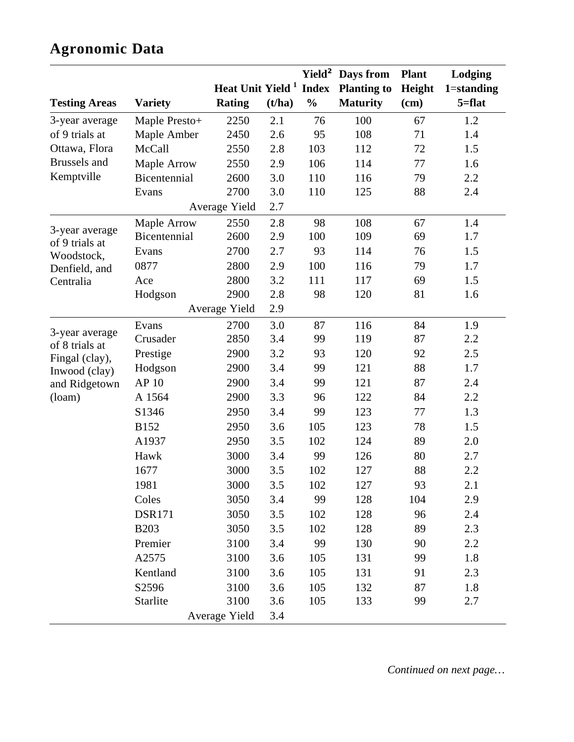## **Agronomic Data**

|                                                                                                |                |                                    |        |               | Yield <sup>2</sup> Days from | <b>Plant</b> | Lodging        |
|------------------------------------------------------------------------------------------------|----------------|------------------------------------|--------|---------------|------------------------------|--------------|----------------|
|                                                                                                |                | Heat Unit Yield <sup>1</sup> Index |        |               | <b>Planting to</b>           | Height       | $1 =$ standing |
| <b>Testing Areas</b>                                                                           | <b>Variety</b> | <b>Rating</b>                      | (t/ha) | $\frac{0}{0}$ | <b>Maturity</b>              | (cm)         | $5 = flat$     |
| 3-year average                                                                                 | Maple Presto+  | 2250                               | 2.1    | 76            | 100                          | 67           | 1.2            |
| of 9 trials at                                                                                 | Maple Amber    | 2450                               | 2.6    | 95            | 108                          | 71           | 1.4            |
| Ottawa, Flora                                                                                  | McCall         | 2550                               | 2.8    | 103           | 112                          | 72           | 1.5            |
| <b>Brussels</b> and                                                                            | Maple Arrow    | 2550                               | 2.9    | 106           | 114                          | $77 \,$      | 1.6            |
| Kemptville                                                                                     | Bicentennial   | 2600                               | 3.0    | 110           | 116                          | 79           | 2.2            |
|                                                                                                | Evans          | 2700                               | 3.0    | 110           | 125                          | 88           | 2.4            |
|                                                                                                |                | Average Yield                      | 2.7    |               |                              |              |                |
| 3-year average<br>of 9 trials at                                                               | Maple Arrow    | 2550                               | 2.8    | 98            | 108                          | 67           | 1.4            |
|                                                                                                | Bicentennial   | 2600                               | 2.9    | 100           | 109                          | 69           | 1.7            |
| Woodstock,                                                                                     | Evans          | 2700                               | 2.7    | 93            | 114                          | 76           | 1.5            |
| Denfield, and<br>Centralia                                                                     | 0877           | 2800                               | 2.9    | 100           | 116                          | 79           | 1.7            |
|                                                                                                | Ace            | 2800                               | 3.2    | 111           | 117                          | 69           | 1.5            |
|                                                                                                | Hodgson        | 2900                               | 2.8    | 98            | 120                          | 81           | 1.6            |
|                                                                                                |                | Average Yield                      | 2.9    |               |                              |              |                |
| 3-year average<br>of 8 trials at<br>Fingal (clay),<br>Inwood (clay)<br>and Ridgetown<br>(loam) | Evans          | 2700                               | 3.0    | 87            | 116                          | 84           | 1.9            |
|                                                                                                | Crusader       | 2850                               | 3.4    | 99            | 119                          | 87           | 2.2            |
|                                                                                                | Prestige       | 2900                               | 3.2    | 93            | 120                          | 92           | 2.5            |
|                                                                                                | Hodgson        | 2900                               | 3.4    | 99            | 121                          | 88           | 1.7            |
|                                                                                                | AP 10          | 2900                               | 3.4    | 99            | 121                          | 87           | 2.4            |
|                                                                                                | A 1564         | 2900                               | 3.3    | 96            | 122                          | 84           | 2.2            |
|                                                                                                | S1346          | 2950                               | 3.4    | 99            | 123                          | 77           | 1.3            |
|                                                                                                | <b>B152</b>    | 2950                               | 3.6    | 105           | 123                          | 78           | 1.5            |
|                                                                                                | A1937          | 2950                               | 3.5    | 102           | 124                          | 89           | 2.0            |
|                                                                                                | Hawk           | 3000                               | 3.4    | 99            | 126                          | 80           | 2.7            |
|                                                                                                | 1677           | 3000                               | 3.5    | 102           | 127                          | 88           | 2.2            |
|                                                                                                | 1981           | 3000                               | 3.5    | 102           | 127                          | 93           | 2.1            |
|                                                                                                | Coles          | 3050                               | 3.4    | 99            | 128                          | 104          | 2.9            |
|                                                                                                | <b>DSR171</b>  | 3050                               | 3.5    | 102           | 128                          | 96           | 2.4            |
|                                                                                                | <b>B203</b>    | 3050                               | 3.5    | 102           | 128                          | 89           | 2.3            |
|                                                                                                | Premier        | 3100                               | 3.4    | 99            | 130                          | 90           | 2.2            |
|                                                                                                | A2575          | 3100                               | 3.6    | 105           | 131                          | 99           | 1.8            |
|                                                                                                | Kentland       | 3100                               | 3.6    | 105           | 131                          | 91           | 2.3            |
|                                                                                                | S2596          | 3100                               | 3.6    | 105           | 132                          | 87           | 1.8            |
|                                                                                                | Starlite       | 3100                               | 3.6    | 105           | 133                          | 99           | 2.7            |
| Average Yield                                                                                  |                |                                    | 3.4    |               |                              |              |                |

*Continued on next page…*